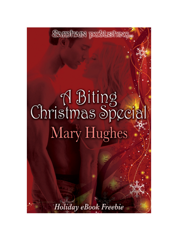**SAMDINAIN publishing** 

## A Biting<br>Christmas Special Mary Hughes

**Holiday eBook Freebie**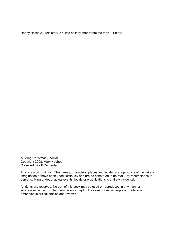Happy Holidays! This story is a little holiday cheer from me to you. Enjoy!

A Biting Christmas Special Copyright 2008, Mary Hughes Cover Art: Scott Carpenter

This is a work of fiction. The names, characters, places and incidents are products of the writer's imagination or have been used fictitiously and are no construed to be real. Any resemblance to persons, living or dead, actual events, locale or organizations is entirely incidental.

All rights are reserved. No part of this book may be used or reproduced in any manner whatsoever without written permission except in the case of brief excerpts or quotations embodied in critical articles and reviews.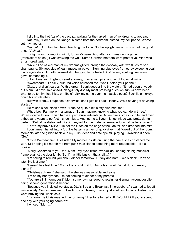I slid into the hot fizz of the Jacuzzi, waiting for the naked man of my dreams to appear. Naturally, "Home on the Range" blasted from the bedroom instead. My cell phone. Worse yet, my mother.

"*Spucatum*!" Julian had been teaching me Latin. Not his uptight lawyer words, but the good ones. "*Asinus*."

Tonight was my wedding night, for fuck's sake. And after a six week engagement (translation: no sex) I was crawling the wall. Some German mothers were protective. Mine was an armored tank.

"Nixie." The naked man of my dreams glided through the doorway with two flutes of sec champagne. Six-foot plus of lean, muscular power. Stunning blue eyes framed by sweeping coal black eyelashes. Smooth bronzed skin begging to be tasted. And below, a jutting twelve-inch gavel demanding it.

Julian Emerson. High-powered attorney, master vampire, and as of today, all mine.

"Sweetheart." His silky, cultured voice caressed me. "Shall I fetch your phone?"

Okay, that didn't caress. With a groan, I sank deeper into the water. If it had been anybody but Mom, I'd have said abso-fucking-lutely *not*. My most pressing question *should* have been what to do to him first. Kiss, or nibble? Lick my name over his massive pecs? Suck little hickeys down his riptide abs?

But with Mom…"I suppose. Otherwise, she'll just call back. Hourly. We'd never get anything started."

He raised sleek black brows. "I can do quite a bit in fifty-nine minutes."

Whoo-boy. Fan me with a tornado. "I can imagine, knowing what you can do in three." When it came to sex, Julian had a supernatural advantage. A vampire's orgasmic bite, and over a thousand years to perfect his technique. And let me tell you, his technique was pretty damn perfect. "But I'd be distracted. Bracing myself for the maternal Armageddon. I'd better answer."

"That's my brave Nixie." He set the flutes on the edge of the Jacuzzi and dropped into mist.

I don't mean he fell into a fog. He *became* a river of quicksilver that flowed out of the room. Moments later he glided back with my Juke, deer and antelope still playing. I swiveled it open. "Go."

"*Frohe Weihnachten*, Dietlinde." My mother insists on using the name she christened me with. Still hoping it'd morph me from punk musician to something more respectable—like a hooker.

"Merry Christmas to you, too, Mom." My eyes flitted over Julian, leaning his big muscular frame against the door jamb. "But I'm a little busy. If that's all…?"

"I'm calling to remind you about dinner tomorrow. Turkey and ham. Two o'clock. Don't be late, like last time."

"I *wasn't* late last time." My mother could guilt St. Nicholas…wait. "What do you mean, dinner?"

"Christmas dinner," she said, like she was reasonable and sane.

"I'm on my honeymoon! I'm not coming to dinner at my parents."

"You are still in town, yes?" Mom somehow managed to retain her German accent despite being second-generation American.

"Because *you* insisted we stay at Otto's Bed and Breakfast Smorgasbord." *I* wanted to jet off immediately. Somewhere warm, like Aruba or Hawaii, or even just southern Indiana. Instead we were braving the Illinois cold.

"Tomorrow is Christmas. A time for *family*." Her tone turned stiff. "Would it kill you to spend one day with your aging parents?"

I winced. "Mom…"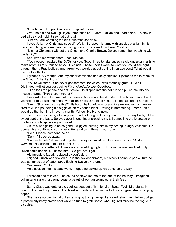"I made pumpkin pie. Cinnamon whipped cream."

Ow. The old one-two—guilt jab, temptation KO. "Mom…Julian and I had plans." To stay in bed all day, but I didn't say that out loud.

"Oh! You are watching the old Christmas specials?"

I eyed Julian. A Christmas special? Well, if I draped his arms with tinsel, put a light in his navel, and hung an ornament on his big branch…I cleared my throat. "Sort of."

"It is not Christmas without the Grinch and Charlie Brown. Do you remember watching with the family?"

She *made* me watch them. "Yes, Mother."

"You noticed I packed the DVDs for you. Good. I had to take out some old undergarments to make room. I am surprised at you, Dietlinde. Those undies were so worn you could see right through them. Practically strings. Aren't you worried about getting in an accident? What would the doctors think?"

I groaned. My thongs. And my sheer camisoles and sexy nighties. Ejected to make room for the Grinch. "Thanks, Mom."

"You're welcome." She never got sarcasm, for which I was eternally grateful. "Well, Dietlinde, I will let you get back to *It's a Wonderful Life*. Goodbye."

Julian took the phone and set it aside. He slipped into the hot tub and pulled me into his muscular arms. "How's your mother?"

I was with the naked man of my dreams. Maybe not the Wonderful Life Mom meant, but it worked for me. I slid one knee over Julian's hips, straddling him. "Let's not talk about her, okay?"

"Hmm. Shall we discuss this?" His hard shell briefcase rose to kiss my nether lips. I never tired of Julian pounding his big gavel on my sound block. Driving it, hammering it home…this would be the first time in over a month. It'd feel like brand-new.

He nuzzled my neck, all sharp teeth and hot tongue. His big hand ran down my back, hit the sweet spot at the base. Splayed over it, one finger pressing my tail bone. The erotic pressure made my whole spine sing with need.

Oh, this was going to be so good. I wiggled, settling him in my aching, hungry vestibule. He opened his mouth against my neck. Penetration in three…two…one…

"Help! Please, someone help!"

"Damn." I pushed away.

"Human female." Julian's skin plated, his eyes blazed red. His hunter's face. "And a *vampire*." He looked to me for permission.

That was nice. After all, it was only our wedding night. But if a rogue was involved, only Julian could handle it. I kissed him. "'Go get 'em, tiger'."

His faceplate faded, replaced by confusion.

I sighed. Julian was wicked hXc in the sex department, but when it came to pop culture he was centuries out of date. *Mega* flashing-twelve syndrome.

"*Spiderman 2*. Go."

He dissolved into mist and went. I hoped he picked up his pants on the way.

I dressed and followed. The sound of blows led me to the end of the hallway. I imagined Julian tangling with a gaunt rogue, a beautiful woman crumpled at their feet.

But no.

Santa Claus was getting the cookies beat out of him by Mrs. Santa. Well, Mrs. Santa in London Fog and high-heels. She thrashed Santa with a giant roll of prancing-reindeer wrapping paper.

She was also bashing at Julian, swinging that gift wrap like a sledgehammer. Julian dodged a particularly nasty crotch shot while he tried to grab Santa, who I figured must be the rogue in disguise.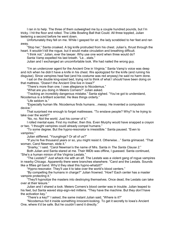I ran in to help. The three of them outweighed me by a couple hundred pounds, but I'm tricky. I hit the floor and rolled. The Little Bowling Ball that Could. All three toppled, Julian teetering a second before he went down.

Unfortunately they fell on me. While I gasped for air, the lady scrabbled to her feet and ran away.

"Stop her," Santa croaked. A big knife protruded from his chest. Julian's, thrust through the heart. It wouldn't kill the rogue, but it would make circulation and breathing difficult.

"I think not." Julian, ever the lawyer. Why use one word when three would do? Santa Vamp expelled his last breath. "Le…stats."

Julian and I exchanged an uncomfortable look. We had nailed the wrong guy.

"I'm an undercover agent for the Ancient One in Virginia." Santa Vamp's voice was deep and rich when he didn't have a knife in his chest. We apologized for the knife (and ruining his disguise). Since vampires heal fast (and his costume was red anyway) he said no harm done.

I sat on the double king-sized bed, trying not to think of what I *should* have been doing on that mattress. "Doesn't the Ancient One live in Iowa?"

"There's more than one. I owe allegiance to Nicodemus."

"What are you doing in Meiers Corners?" Julian asked.

"Tracking an incredibly dangerous mistake." Santa sighed. "You've got to understand, Nicodemus is a brilliant scientist. He likes things orderly."

"Life seldom is."

"Especially human life. Nicodemus finds humans…messy. He invented a compulsion device."

That surprised me enough to forget mattresses. "To enslave people? Why? Is he trying to take over the world?"

"No, no. Not the world. Just his corner of it."

I rolled mental eyes. First my mother, then this. Even Murphy would have snapped a crayon or two. "I thought vampires could already compel humans."

"To some degree. But the hypno-resonator is irresistible." Santa paused. "Even to *vampires*."

Julian stiffened. "Younglings? Or all of us?"

"If you're five thousand years or so, you might resist it. Otherwise…" Santa grimaced. "That woman, Carol Newman, stole it."

"Snarky," I said. "Carol Newman's the name of Mrs. Santa in *The Santa Clause 2*."

Both Julian and Santa stared at me. Their IMDb was offline, I guessed. Santa continued, "She's a human minion of the Virginia Lestats."

"The *Lestats*?" Just whack me with an elf. The Lestats was a violent gang of rogue vampires in nearby Chicago. Apparently there were branches elsewhere. "Carol and the Lestats. Sounds like a fifties girl band. Why'd they steal this hypno-whatzit?"

"Hypno-resonator. They'll use it to take over the world's blood centers."

"By compelling the humans in charge?" Julian frowned. "How? Each center has a master vampire protecting it."

"They'll hypnotize the masters into destroying themselves. Once dead, the Lestats can take over at their leisure."

Julian and I shared a look. Meiers Corners's blood center was in trouble. Julian leaped to his feet, but Santa waved stop-sign-red mittens. "They have the machine. But they *don't* have the activation key."

"There's a key?" I asked, the same instant Julian said, "Where is it?"

"Nicodemus hid it inside something innocent-looking. To get it secretly to Iowa's Ancient One, where it'd be safe. But he couldn't send it directly."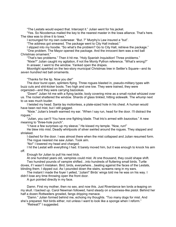"The Lestats would expect that. Intercept it." Julian went for his jacket.

"Yes. So Nicodemus mailed the key to the nearest master in the Iowa alliance. That's here. The idea was to drive it to Iowa."

I scrounged for my own outerwear. "But..?" Murphy's Law insured a "but".

"The address got smeared. The package went to City Hall instead."

I slipped into my hoodie. "So what's the problem? Go to City Hall, retrieve the package."

"One problem. The Mayor opened the package. And the innocent item was a red ball Christmas ornament."

"That's two problems." Then it hit me. "Holy Spanish Inquisition! Three problems." "Nixie?" Julian caught my agitation, if not the Monty Python reference. "What's wrong?"

In answer, I went to the window. Yanked open the drapes.

Moonlight sparkled on the two-story municipal Christmas tree in Settler's Square—and its *seven hundred* red ball ornaments.

"Thanks for the tip. Now you die!"

The door burst open, splinters flying. Three rogues blasted in, pseudo-military types with buzz cuts and shit-kicker boots. Two high and one low. They were trained, they were organized—and they were carrying bazookas.

"Down!" Julian hit me with a flying tackle, body covering mine as a small rocket whizzed over us. The rocket shattered the window. Shards of glass tinkled, hitting sidewalk. The *whump* next to us was much louder.

I twisted my head. Santa lay motionless, a plate-sized hole in his chest. A human would have been red mist, but I still gagged.

"Nixie." Julian's breath warmed my ear. "When I say run, head for the door. I'll distract the rogues."

"Julian, you can't! You have one fighting blade. That trio's armed with *bazookas*." A new meaning to "three-hole punch".

"I have a few surprises up my sleeve." He kissed my temple. "Now, run!"

He blew into mist. Deadly whirlpools of silver swirled around the rogues. They slapped and shrieked.

I dashed for the door. I was almost there when the mist collapsed and Julian resumed form. The rogue nearest me saw Julian. Took aim.

"No!" I lowered my head and charged.

I hit the Lestat with everything I had. It barely moved him, but it was enough to knock his aim off.

Enough for Julian to pull his next trick.

At one hundred years old, vampires could mist. At one thousand, they could shape shift.

Two hundred pounds of vampire shifted…into hundreds of fluttering small birds. Turtle doves, if I wasn't mistaken. Bird, birds, everywhere…beating against the faces of the Lestats, blinding them. I dipped out. As I pounded down the stairs, screams rang in my ears.

The instant I made the foyer I yelled, "Julian!" Birds' wings told me he was on his way. I didn't lose any time throwing open the front door.

A gun pointed directly in my face.

Damn. First my mother, then no sex, and now this. Just Riverdance ten lords a-leaping on my skull. I backed up. Carol Newman followed, hand steady on a business-like pistol. Behind her half a dozen Rottweilers growled, fangs dripping menace.

"Damn." Julian formed behind me, echoing my thoughts. "Too many dogs for mist. And she's prepared. Not birds either, not unless I want to look like a sponge when I reform."

"Retreat?" I suggested.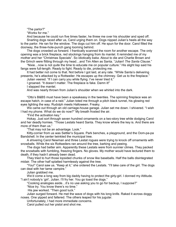"The parlor?"

"Works for me."

And because he could run five times faster, he threw me over his shoulder and sped off. Snarling dogs raced after us, Carol urging them on. Dogs nipped Julian's heels all the way to the parlor. He ran for the window. The dogs cut him off. He spun for the door. Carol filled the doorway, the three-hole-punch gang looming behind.

The dogs crowded us forward. I frantically scanned the room for another escape. The only opening was a brick fireplace, red stockings hanging from its mantel. It reminded me of my mother and her "Christmas Specials". So idiotically *baka*. About to die and Charlie Brown and the Grinch were flitting through my head…and Tim Allen as Santa*.* "Julian! *The Santa Clause*."

"Nixie…now is not *quite* the time to educate me on popular culture." His slight lisp said his fangs were full-length. Ready to fight. Ready to die, protecting me.

It had better not come to that. Not before I got laid, at any rate. "While Santa's delivering presents, he's attacked by a Rottweiler. He escapes up the chimney. Get us to the fireplace."

Julian veered. "If I can carry you while flying. I've never tried it."

I groaned. "It doesn't matter. The fireplace is fake. Damn it!"

I slapped the mantel.

And was nearly thrown from Julian's shoulder when we whirled into the dark.

"Otto's B&BS must have been a speakeasy in the twenties. The spinning fireplace was an escape hatch, in case of a raid." Julian toted me through a pitch black tunnel, his glowing red eyes lighting the way. Rudolph meets Halloween. Freaky.

We came out through an old carriage-house garage. Julian set me down. I shivered. "I wish I had my phone. What do we do now?" My breath frosted the air.

"Find the activation key."

Hokay. Just sort through seven hundred ornaments on a two-story tree while dodging Carol and her deadly homies. "Those Lestats heard Santa. They know where the key is. And there are more of them than us."

"That may not be an advantage. Look."

Kitty-corner from us was Settler's Square. Park benches, a playground, and the Oom-pa-pa Bandshell. In the center twinkled the municipal tree.

A shivering Carol Newman and three Lestat rogues were trying to knock off ornaments with snowballs. While the six Rottweilers ran around the tree, barking and peeing.

The dogs had better aim. Apparently these Lestats were from sunnier climes. They packed the snowballs with fumbling, freezing fingers. No gloves. My mother would have lectured them to death, if they hadn't already been dead.

They tried to hurl those lopsided chunks of snow like baseballs. Half the balls disintegrated midair. The other half splatted harmlessly against the tree.

"You!" Carol saw us. "Keep at it," she ordered the Lestats. "I'll take care of the girl. The dogs can deal with her tame vampire."

Julian grabbed me.

We'd come a long way from big daddy having to protect the girly-girl. I donned my Attitude. "I ain't nobody's 'girl', Julian. I'll fry her. You go toast the dogs."

"Cooking analogies aside…it's no use asking you to go for backup, I suppose?"

"Nice try. You know there's no time."

His jaw worked. "Then good luck."

Julian surged forward. He met the wave of dogs with his long knife. Raked it across doggy noses. One yipped and faltered. The others leaped for his jugular.

Unfortunately, I had more immediate concerns.

Carol pulled out her pistol and shot me.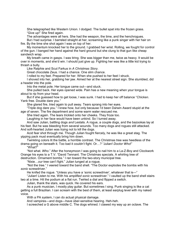She telegraphed like Western Union. I dodged. The bullet spat into the frozen grass. "Give up!" She fired again.

The advantages were all hers. She had the weapon, the time, and the henchrogues.

But *I* had surprise. I barreled straight at her, screaming like a punk singer with her hair on fire. By the time she shot again I was on top of her.

My momentum knocked her to the ground. I grabbed her wrist. Rolling, we fought for control of the gun. I banged her hand against the hard ground but she clung to that gun like cheap sandwich wrap.

My breath came in gasps. I was tiring. She was bigger than me, twice as heavy. It would be over in moments, and she'd win. I should just give up. Fighting her was like a little kid trying to thrash a bully.

Like Ralphie and Scut Farkus in *A Christmas Story*.

Great chocolate Zeus. I had a chance. One slim chance.

I rolled to my feet. Prepared for her. When she pushed to her feet I struck.

I shoved into her, grabbing her jaw. Aimed her at the nearest street sign. She stumbled, did a header into the pole.

Into the metal pole. Her tongue came out—and stuck.

She pulled back. Her eyes opened wide. Pain has a new meaning when your tongue is about to rip from your head.

But if she guessed how to get loose, I was sunk. I had to keep her off balance "*Chicken*. Yank free. Double dare you."

She glared fire, tried again to pull away. Tears sprang into her eyes.

"Triple dog dare you." I knew how, but only because I'd been Darwin Award stupid at the age of seven. The fire department and some warm water rescued me.

She tried again. The tears trickled onto her cheeks. They froze too.

Laughing in her face would have been unkind. So I turned away.

And saw Julian, battling dogs *and* Lestats. A rogue, a couple dogs, and the bazookas lay at his feet. But he was bleeding from several wounds. Too many dogs and rogues still attacked. And soft-hearted Julian was trying not to kill the dogs.

Acid fear shot through me. Though Julian fought fiercely, he was like a great stag. The yipping pack must eventually bring him down.

Twinkling colors lit the battle, a horrible contrast. The Christmas tree was heedless of the drama going on beneath it. Too bad it couldn't fight. Or…? "Julian! *Doctor Who*!"

"What?"

"Not what. *Who*." After the honeymoon I was going to nail him to a La-Z-Boy and Clockwork Orange his eyes to a T.V. "David Tennant. The Christmas specials. A whirling tree of destruction. Ornament bombs." I ran toward the two-story municipal tree.

"Nixie…*our* tree can't fight." Julian lunged at a rogue.

"Not the tree." I veered toward the band shell. "The Doctor explodes the bombs with his *sonic* screwdriver."

He knifed the rogue. "Unless you have a 'sonic screwdriver', whatever that is—"

"Julian! Listen to me. With his *amplified sonic* screwdriver." I vaulted up the band shell stairs two at a time. Hit the podium at a flat run. Twirled a dial and flipped a switch.

Julian, thank the stars, was quick. He covered his ears.

As a punk musician, I mostly play guitar. But sometimes I sing. Punk singing is like a cat getting a full Brazilian. I can scream with the best of them, at least earplug level with my naked voice.

With a PA system, I can do actual physical damage.

And vampires—and dogs—have über-sensitive hearing. Heh-heh.

I screeched a G above middle C. The dogs whined. I clawed my way up an octave. The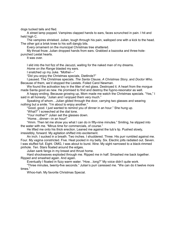dogs tucked tails and fled.

A street lamp popped. Vampires clapped hands to ears, faces scrunched in pain. I hit and held high C.

The vampires shrieked. Julian, tough through his pain, walloped one with a kick to the head. The other got a brisk knee to his soft dangly bits.

Every ornament on the municipal Christmas tree shattered.

My throat froze. Julian dropped hands from ears. Grabbed a bazooka and three-holepunched Lestat hearts.

It was over.

I slid into the hot fizz of the Jacuzzi, waiting for the naked man of my dreams.

*Home on the Range* blasted my ears.

I snatched up my Juke. "Mother—"

"Did you enjoy the Christmas specials, Dietlinde?"

I paused. The Christmas specials. *The Santa Clause*, *A Christmas Story*, and *Doctor Who.*  Because of them, we'd stopped the Lestats. Foiled Carol Newman.

We found the activation key in the litter of red glass. Destroyed it. A heart from the morgue made Santa good as new. He promised to find and destroy the hypno-resonator as well.

A happy ending. Because growing up, Mom made me watch the Christmas specials. "Yes," I said in all honesty. "Julian and I enjoyed them very much."

Speaking of whom…Julian glided through the door, carrying two glasses and wearing nothing but a smile. "I'm about to enjoy another."

"Good, good. I just wanted to remind you of dinner in an hour." She hung up.

"What?" I screeched at the dial tone.

"Your mother?" Julian set the glasses down.

"Home…dinner—in an hour!"

"Hmm. Then let me show you what I can do in fifty-nine minutes." Smiling, he slipped into the water with me. "Minus time for commercials, of course."

He lifted me onto his thick erection. Leaned me against the tub's lip. Pushed slowly, irresistibly, forward. My agitation shifted into excitement.

An inch. I sucked in a breath. Two inches. I shuddered. Three. His purr rumbled against me. Four. My vagina constricted. Five. Heat pooled in my belly. Six. Electric jolts radiated out. Seven. I was stuffed full. Eight. OMG, I was about to burst. *Nine*. My sight narrowed to a black-rimmed pinhole. *Ten.* Stars floated around the edges.

Julian sank fangs in my breast and thrust home.

Hard shockwaves exploded through me. Ripped me in half. Smashed me back together. Ripped and smashed again. And again.

Eventually I floated in fizzy warm water. "How…long?" My voice didn't quite work.

"Three minutes, twenty-five seconds." Julian's purr caressed me. "We can do it twelve more times."

Whoo-hah. My favorite Christmas Special.